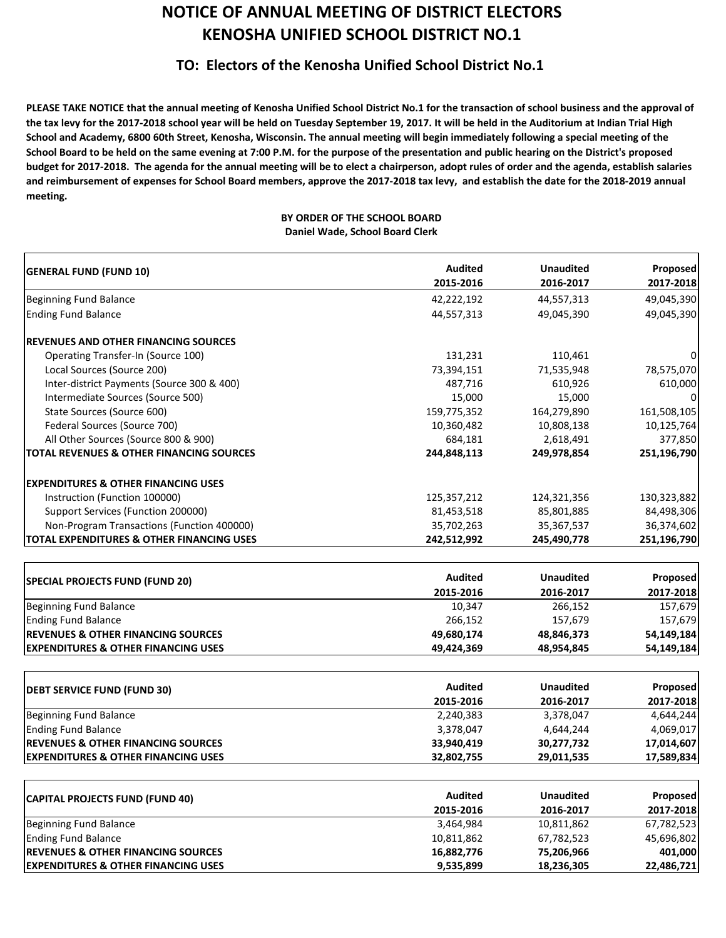## **NOTICE OF ANNUAL MEETING OF DISTRICT ELECTORS KENOSHA UNIFIED SCHOOL DISTRICT NO.1**

## **TO: Electors of the Kenosha Unified School District No.1**

PLEASE TAKE NOTICE that the annual meeting of Kenosha Unified School District No.1 for the transaction of school business and the approval of the tax levy for the 2017-2018 school year will be held on Tuesday September 19, 2017. It will be held in the Auditorium at Indian Trial High School and Academy, 6800 60th Street, Kenosha, Wisconsin. The annual meeting will begin immediately following a special meeting of the School Board to be held on the same evening at 7:00 P.M. for the purpose of the presentation and public hearing on the District's proposed budget for 2017-2018. The agenda for the annual meeting will be to elect a chairperson, adopt rules of order and the agenda, establish salaries and reimbursement of expenses for School Board members, approve the 2017-2018 tax levy, and establish the date for the 2018-2019 annual **meeting.**

## **BY ORDER OF THE SCHOOL BOARD Daniel Wade, School Board Clerk**

| <b>GENERAL FUND (FUND 10)</b>                        | <b>Audited</b> | <b>Unaudited</b> | Proposed    |
|------------------------------------------------------|----------------|------------------|-------------|
|                                                      | 2015-2016      | 2016-2017        | 2017-2018   |
| Beginning Fund Balance                               | 42,222,192     | 44,557,313       | 49,045,390  |
| <b>Ending Fund Balance</b>                           | 44,557,313     | 49,045,390       | 49,045,390  |
| <b> REVENUES AND OTHER FINANCING SOURCES</b>         |                |                  |             |
| <b>Operating Transfer-In (Source 100)</b>            | 131,231        | 110,461          |             |
| Local Sources (Source 200)                           | 73,394,151     | 71,535,948       | 78,575,070  |
| Inter-district Payments (Source 300 & 400)           | 487,716        | 610,926          | 610,000     |
| Intermediate Sources (Source 500)                    | 15,000         | 15,000           |             |
| State Sources (Source 600)                           | 159,775,352    | 164,279,890      | 161,508,105 |
| Federal Sources (Source 700)                         | 10,360,482     | 10,808,138       | 10,125,764  |
| All Other Sources (Source 800 & 900)                 | 684,181        | 2,618,491        | 377,850     |
| <b>ITOTAL REVENUES &amp; OTHER FINANCING SOURCES</b> | 244,848,113    | 249,978,854      | 251,196,790 |
| <b>IEXPENDITURES &amp; OTHER FINANCING USES</b>      |                |                  |             |
| Instruction (Function 100000)                        | 125,357,212    | 124,321,356      | 130,323,882 |
| Support Services (Function 200000)                   | 81,453,518     | 85,801,885       | 84,498,306  |
| Non-Program Transactions (Function 400000)           | 35,702,263     | 35, 367, 537     | 36,374,602  |
| <b>TOTAL EXPENDITURES &amp; OTHER FINANCING USES</b> | 242,512,992    | 245,490,778      | 251,196,790 |
|                                                      |                |                  |             |
| <b>SPECIAL PROJECTS FUND (FUND 20)</b>               | <b>Audited</b> | <b>Unaudited</b> | Proposed    |
|                                                      | 2015-2016      | 2016-2017        | 2017-2018   |
| <b>Beginning Fund Balance</b>                        | 10,347         | 266,152          | 157,679     |
| <b>Ending Fund Balance</b>                           | 266,152        | 157,679          | 157,679     |
| <b>REVENUES &amp; OTHER FINANCING SOURCES</b>        | 49,680,174     | 48,846,373       | 54,149,184  |
| <b>EXPENDITURES &amp; OTHER FINANCING USES</b>       | 49,424,369     | 48,954,845       | 54,149,184  |
|                                                      |                |                  |             |
| <b>DEBT SERVICE FUND (FUND 30)</b>                   | <b>Audited</b> | <b>Unaudited</b> | Proposed    |
|                                                      | 2015-2016      | 2016-2017        | 2017-2018   |
| <b>Beginning Fund Balance</b>                        | 2,240,383      | 3,378,047        | 4,644,244   |
| <b>Ending Fund Balance</b>                           | 3,378,047      | 4,644,244        | 4,069,017   |
| <b>REVENUES &amp; OTHER FINANCING SOURCES</b>        | 33,940,419     | 30,277,732       | 17,014,607  |
| <b>EXPENDITURES &amp; OTHER FINANCING USES</b>       | 32,802,755     | 29,011,535       | 17,589,834  |
|                                                      | <b>Audited</b> | <b>Unaudited</b> | Proposed    |
| <b>CAPITAL PROJECTS FUND (FUND 40)</b>               | 2015-2016      | 2016-2017        | 2017-2018   |
| <b>Beginning Fund Balance</b>                        | 3,464,984      | 10,811,862       | 67,782,523  |
| <b>Ending Fund Balance</b>                           | 10,811,862     | 67,782,523       | 45,696,802  |
| <b>REVENUES &amp; OTHER FINANCING SOURCES</b>        | 16,882,776     | 75,206,966       | 401,000     |

**EXPENDITURES & OTHER FINANCING USES 9,535,899 18,236,305 22,486,721**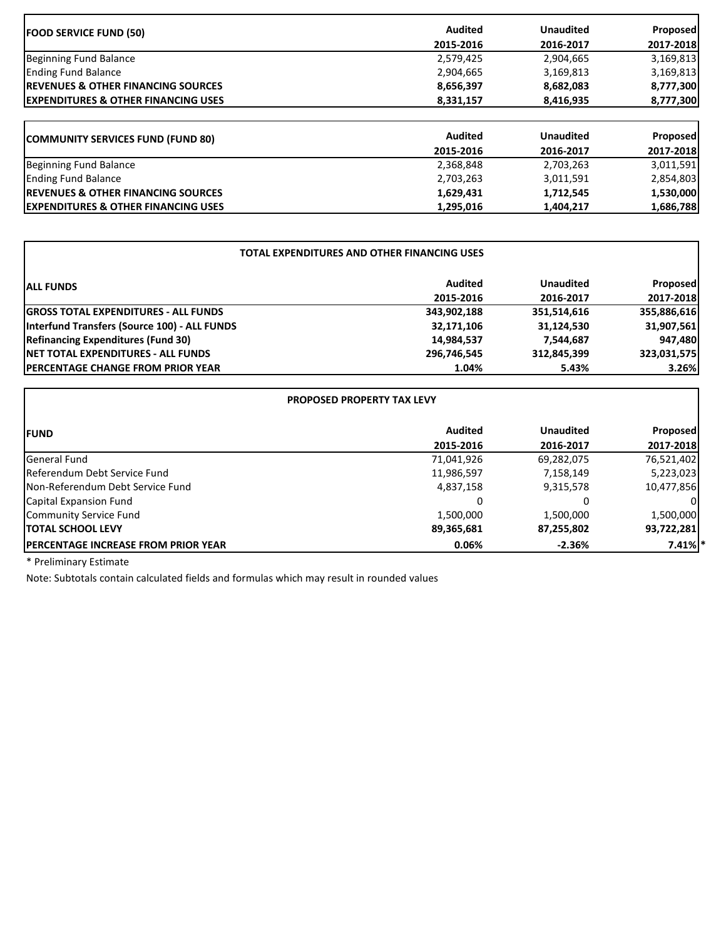| <b>FOOD SERVICE FUND (50)</b>                   | <b>Audited</b> | <b>Unaudited</b> | <b>Proposed</b> |
|-------------------------------------------------|----------------|------------------|-----------------|
|                                                 | 2015-2016      | 2016-2017        | 2017-2018       |
| Beginning Fund Balance                          | 2,579,425      | 2,904,665        | 3,169,813       |
| <b>Ending Fund Balance</b>                      | 2,904,665      | 3,169,813        | 3,169,813       |
| <b>IREVENUES &amp; OTHER FINANCING SOURCES</b>  | 8,656,397      | 8,682,083        | 8,777,300       |
| <b>IEXPENDITURES &amp; OTHER FINANCING USES</b> | 8,331,157      | 8,416,935        | 8,777,300       |
| <b>COMMUNITY SERVICES FUND (FUND 80)</b>        | <b>Audited</b> | <b>Unaudited</b> | Proposed        |
|                                                 | 2015-2016      | 2016-2017        | 2017-2018       |
| Beginning Fund Balance                          | 2,368,848      | 2,703,263        | 3,011,591       |
| <b>Ending Fund Balance</b>                      | 2,703,263      | 3,011,591        | 2,854,803       |
| <b>IREVENUES &amp; OTHER FINANCING SOURCES</b>  | 1,629,431      | 1,712,545        | 1,530,000       |
| <b>IEXPENDITURES &amp; OTHER FINANCING USES</b> | 1,295,016      | 1,404,217        | 1,686,788       |

٦

| <b>TOTAL EXPENDITURES AND OTHER FINANCING USES</b> |                |                  |                 |  |
|----------------------------------------------------|----------------|------------------|-----------------|--|
| <b>ALL FUNDS</b>                                   | <b>Audited</b> | <b>Unaudited</b> | <b>Proposed</b> |  |
|                                                    | 2015-2016      | 2016-2017        | 2017-2018       |  |
| <b>GROSS TOTAL EXPENDITURES - ALL FUNDS</b>        | 343,902,188    | 351,514,616      | 355,886,616     |  |
| Interfund Transfers (Source 100) - ALL FUNDS       | 32,171,106     | 31,124,530       | 31,907,561      |  |
| <b>Refinancing Expenditures (Fund 30)</b>          | 14,984,537     | 7,544,687        | 947,480         |  |
| <b>INET TOTAL EXPENDITURES - ALL FUNDS</b>         | 296,746,545    | 312,845,399      | 323,031,575     |  |
| <b>IPERCENTAGE CHANGE FROM PRIOR YEAR</b>          | 1.04%          | 5.43%            | 3.26%           |  |

| <b>PROPOSED PROPERTY TAX LEVY</b>           |                |                  |                 |
|---------------------------------------------|----------------|------------------|-----------------|
| <b>IFUND</b>                                | <b>Audited</b> | <b>Unaudited</b> | <b>Proposed</b> |
|                                             | 2015-2016      | 2016-2017        | 2017-2018       |
| General Fund                                | 71,041,926     | 69,282,075       | 76,521,402      |
| Referendum Debt Service Fund                | 11,986,597     | 7,158,149        | 5,223,023       |
| Non-Referendum Debt Service Fund            | 4,837,158      | 9,315,578        | 10,477,856      |
| Capital Expansion Fund                      |                | 0                |                 |
| Community Service Fund                      | 1,500,000      | 1,500,000        | 1,500,000       |
| <b>ITOTAL SCHOOL LEVY</b>                   | 89,365,681     | 87,255,802       | 93,722,281      |
| <b>IPERCENTAGE INCREASE FROM PRIOR YEAR</b> | 0.06%          | $-2.36%$         | $7.41\%$ *      |

\* Preliminary Estimate

 $\mathbf{r}$ 

Note: Subtotals contain calculated fields and formulas which may result in rounded values